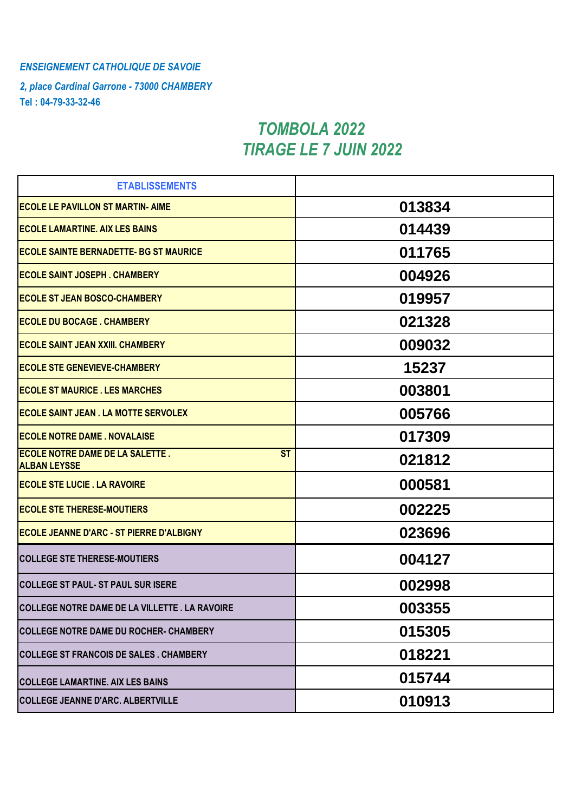## *ENSEIGNEMENT CATHOLIQUE DE SAVOIE*

*2, place Cardinal Garrone - 73000 CHAMBERY* **Tel : 04-79-33-32-46**

## *TIRAGE LE 7 JUIN 2022 TOMBOLA 2022*

| <b>ETABLISSEMENTS</b>                                                      |        |
|----------------------------------------------------------------------------|--------|
| <b>ECOLE LE PAVILLON ST MARTIN- AIME</b>                                   | 013834 |
| <b>ECOLE LAMARTINE. AIX LES BAINS</b>                                      | 014439 |
| <b>ECOLE SAINTE BERNADETTE- BG ST MAURICE</b>                              | 011765 |
| <b>ECOLE SAINT JOSEPH. CHAMBERY</b>                                        | 004926 |
| <b>ECOLE ST JEAN BOSCO-CHAMBERY</b>                                        | 019957 |
| <b>ECOLE DU BOCAGE . CHAMBERY</b>                                          | 021328 |
| <b>ECOLE SAINT JEAN XXIII. CHAMBERY</b>                                    | 009032 |
| <b>ECOLE STE GENEVIEVE-CHAMBERY</b>                                        | 15237  |
| <b>ECOLE ST MAURICE . LES MARCHES</b>                                      | 003801 |
| <b>ECOLE SAINT JEAN . LA MOTTE SERVOLEX</b>                                | 005766 |
| <b>ECOLE NOTRE DAME . NOVALAISE</b>                                        | 017309 |
| <b>ST</b><br><b>ECOLE NOTRE DAME DE LA SALETTE.</b><br><b>ALBAN LEYSSE</b> | 021812 |
| <b>ECOLE STE LUCIE . LA RAVOIRE</b>                                        | 000581 |
| <b>ECOLE STE THERESE-MOUTIERS</b>                                          | 002225 |
| <b>ECOLE JEANNE D'ARC - ST PIERRE D'ALBIGNY</b>                            | 023696 |
| <b>COLLEGE STE THERESE-MOUTIERS</b>                                        | 004127 |
| <b>COLLEGE ST PAUL- ST PAUL SUR ISERE</b>                                  | 002998 |
| COLLEGE NOTRE DAME DE LA VILLETTE . LA RAVOIRE                             | 003355 |
| <b>COLLEGE NOTRE DAME DU ROCHER- CHAMBERY</b>                              | 015305 |
| <b>COLLEGE ST FRANCOIS DE SALES . CHAMBERY</b>                             | 018221 |
| <b>COLLEGE LAMARTINE. AIX LES BAINS</b>                                    | 015744 |
| <b>COLLEGE JEANNE D'ARC. ALBERTVILLE</b>                                   | 010913 |